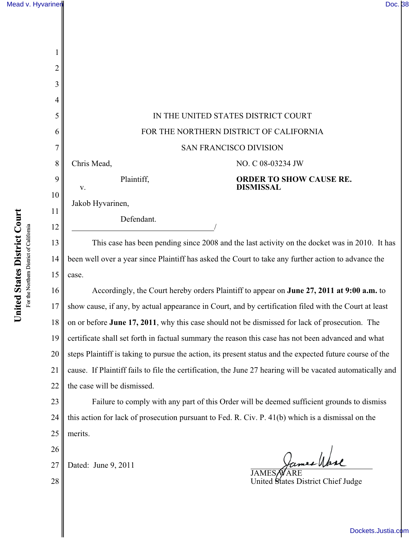| 2        |                                                                                                            |                                                                                                     |  |
|----------|------------------------------------------------------------------------------------------------------------|-----------------------------------------------------------------------------------------------------|--|
| 3        |                                                                                                            |                                                                                                     |  |
| 4        |                                                                                                            |                                                                                                     |  |
| 5        | IN THE UNITED STATES DISTRICT COURT                                                                        |                                                                                                     |  |
| 6        | FOR THE NORTHERN DISTRICT OF CALIFORNIA                                                                    |                                                                                                     |  |
| 7        | <b>SAN FRANCISCO DIVISION</b>                                                                              |                                                                                                     |  |
| 8        | Chris Mead,                                                                                                | NO. C 08-03234 JW                                                                                   |  |
| 9        | Plaintiff,                                                                                                 | <b>ORDER TO SHOW CAUSE RE.</b><br><b>DISMISSAL</b>                                                  |  |
| 10       | V.<br>Jakob Hyvarinen,                                                                                     |                                                                                                     |  |
| 11       | Defendant.                                                                                                 |                                                                                                     |  |
| 12       |                                                                                                            |                                                                                                     |  |
| 13       | This case has been pending since 2008 and the last activity on the docket was in 2010. It has              |                                                                                                     |  |
| 14       |                                                                                                            | been well over a year since Plaintiff has asked the Court to take any further action to advance the |  |
| 15       | case.                                                                                                      |                                                                                                     |  |
| 16       | Accordingly, the Court hereby orders Plaintiff to appear on June 27, 2011 at 9:00 a.m. to                  |                                                                                                     |  |
| 17       | show cause, if any, by actual appearance in Court, and by certification filed with the Court at least      |                                                                                                     |  |
| 18       | on or before June 17, 2011, why this case should not be dismissed for lack of prosecution. The             |                                                                                                     |  |
| 19       | certificate shall set forth in factual summary the reason this case has not been advanced and what         |                                                                                                     |  |
| 20       | steps Plaintiff is taking to pursue the action, its present status and the expected future course of the   |                                                                                                     |  |
| 21       | cause. If Plaintiff fails to file the certification, the June 27 hearing will be vacated automatically and |                                                                                                     |  |
| 22       | the case will be dismissed.                                                                                |                                                                                                     |  |
| 23       | Failure to comply with any part of this Order will be deemed sufficient grounds to dismiss                 |                                                                                                     |  |
| 24       | this action for lack of prosecution pursuant to Fed. R. Civ. P. 41(b) which is a dismissal on the          |                                                                                                     |  |
| 25       | merits.                                                                                                    |                                                                                                     |  |
| 26       |                                                                                                            |                                                                                                     |  |
| 27<br>28 | Dated: June 9, 2011                                                                                        | JAMES/WARE<br>United States District Chief Judge                                                    |  |
|          |                                                                                                            |                                                                                                     |  |

[Dockets.Justia.com](http://dockets.justia.com/)